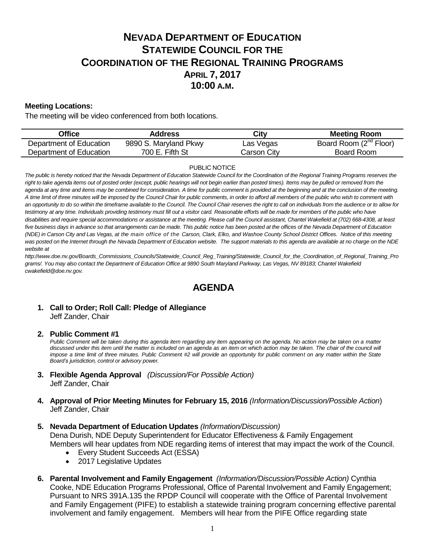# **NEVADA DEPARTMENT OF EDUCATION STATEWIDE COUNCIL FOR THE COORDINATION OF THE REGIONAL TRAINING PROGRAMS APRIL 7, 2017 10:00 A.M.**

### **Meeting Locations:**

The meeting will be video conferenced from both locations.

| Office                  | Address               | City        | <b>Meeting Room</b>                |
|-------------------------|-----------------------|-------------|------------------------------------|
| Department of Education | 9890 S. Maryland Pkwy | Las Vegas   | Board Room (2 <sup>nd</sup> Floor) |
| Department of Education | 700 E. Fifth St       | Carson City | Board Room                         |

#### PUBLIC NOTICE

*The public is hereby noticed that the Nevada Department of Education Statewide Council for the Coordination of the Regional Training Programs reserves the*  right to take agenda items out of posted order (except, public hearings will not begin earlier than posted times). Items may be pulled or removed from the *agenda at any time and items may be combined for consideration. A time for public comment is provided at the beginning and at the conclusion of the meeting. A time limit of three minutes will be imposed by the Council Chair for public comments, in order to afford all members of the public who wish to comment with an opportunity to do so within the timeframe available to the Council. The Council Chair reserves the right to call on individuals from the audience or to allow for testimony at any time. Individuals providing testimony must fill out a visitor card. Reasonable efforts will be made for members of the public who have disabilities and require special accommodations or assistance at the meeting. Please call the Council assistant, Chantel Wakefield at (702) 668-4308, at least five business days in advance so that arrangements can be made. This public notice has been posted at the offices of the Nevada Department of Education (NDE) in Carson City and Las Vegas, at the main office of the Carson, Clark, Elko, and Washoe County School District Offices. Notice of this meeting was posted on the Internet through th[e Nevada Department of Education w](http://www.doe.nv.gov/)ebsite. The support materials to this agenda are available at no charge on the NDE website at* 

*http://www.doe.nv.gov/Boards\_Commissions\_Councils/Statewide\_Council\_Reg\_Training/Statewide\_Council\_for\_the\_Coordination\_of\_Regional\_Training\_Pro grams/. You may also contact the Department of Education Office at 9890 South Maryland Parkway, Las Vegas, NV 89183; Chantel Wakefield cwakefield@doe.nv.gov.*

## **AGENDA**

## **1. Call to Order; Roll Call: Pledge of Allegiance** Jeff Zander, Chair

### **2. Public Comment #1**

Public Comment will be taken during this agenda item regarding any item appearing on the agenda. No action may be taken on a matter discussed under this item until the matter is included on an agenda as an item on which action may be taken. The chair of the council will *impose a time limit of three minutes. Public Comment #2 will provide an opportunity for public comment on any matter within the State Board's jurisdiction, control or advisory power.*

- **3. Flexible Agenda Approval** *(Discussion/For Possible Action)* Jeff Zander, Chair
- **4. Approval of Prior Meeting Minutes for February 15, 2016** *(Information/Discussion/Possible Action*) Jeff Zander, Chair
- **5. Nevada Department of Education Updates** *(Information/Discussion)*

Dena Durish, NDE Deputy Superintendent for Educator Effectiveness & Family Engagement Members will hear updates from NDE regarding items of interest that may impact the work of the Council.

- Every Student Succeeds Act (ESSA)
- 2017 Legislative Updates
- **6. Parental Involvement and Family Engagement** *(Information/Discussion/Possible Action)* Cynthia Cooke, NDE Education Programs Professional, Office of Parental Involvement and Family Engagement; Pursuant to NRS 391A.135 the RPDP Council will cooperate with the Office of Parental Involvement and Family Engagement (PIFE) to establish a statewide training program concerning effective parental involvement and family engagement. Members will hear from the PIFE Office regarding state